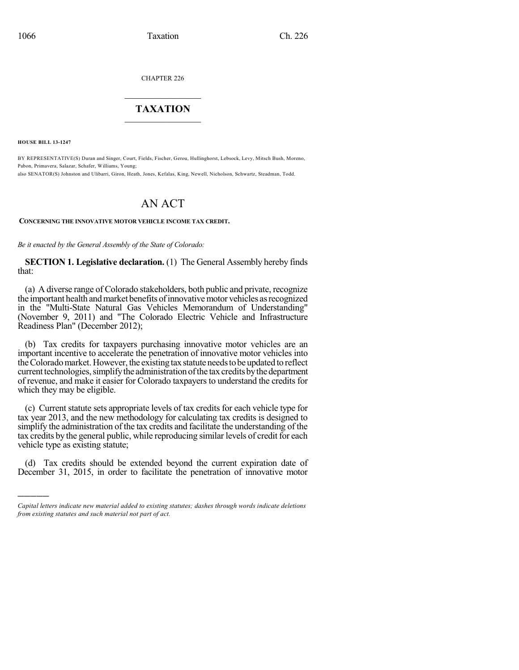CHAPTER 226

# $\mathcal{L}_\text{max}$  . The set of the set of the set of the set of the set of the set of the set of the set of the set of the set of the set of the set of the set of the set of the set of the set of the set of the set of the set **TAXATION**  $\_$

**HOUSE BILL 13-1247**

)))))

BY REPRESENTATIVE(S) Duran and Singer, Court, Fields, Fischer, Gerou, Hullinghorst, Lebsock, Levy, Mitsch Bush, Moreno, Pabon, Primavera, Salazar, Schafer, Williams, Young; also SENATOR(S) Johnston and Ulibarri, Giron, Heath, Jones, Kefalas, King, Newell, Nicholson, Schwartz, Steadman, Todd.

# AN ACT

#### **CONCERNING THE INNOVATIVE MOTOR VEHICLE INCOME TAX CREDIT.**

*Be it enacted by the General Assembly of the State of Colorado:*

**SECTION 1. Legislative declaration.** (1) The General Assembly hereby finds that:

(a) A diverse range of Colorado stakeholders, both public and private, recognize the important health and market benefits of innovative motor vehicles as recognized in the "Multi-State Natural Gas Vehicles Memorandum of Understanding" (November 9, 2011) and "The Colorado Electric Vehicle and Infrastructure Readiness Plan" (December 2012);

(b) Tax credits for taxpayers purchasing innovative motor vehicles are an important incentive to accelerate the penetration of innovative motor vehicles into the Colorado market. However, the existing tax statute needs to be updated to reflect current technologies, simplify the administration of the tax credits by the department of revenue, and make it easier for Colorado taxpayers to understand the credits for which they may be eligible.

(c) Current statute sets appropriate levels of tax credits for each vehicle type for tax year 2013, and the new methodology for calculating tax credits is designed to simplify the administration of the tax credits and facilitate the understanding of the tax credits by the general public, while reproducing similar levels of credit for each vehicle type as existing statute;

(d) Tax credits should be extended beyond the current expiration date of December 31, 2015, in order to facilitate the penetration of innovative motor

*Capital letters indicate new material added to existing statutes; dashes through words indicate deletions from existing statutes and such material not part of act.*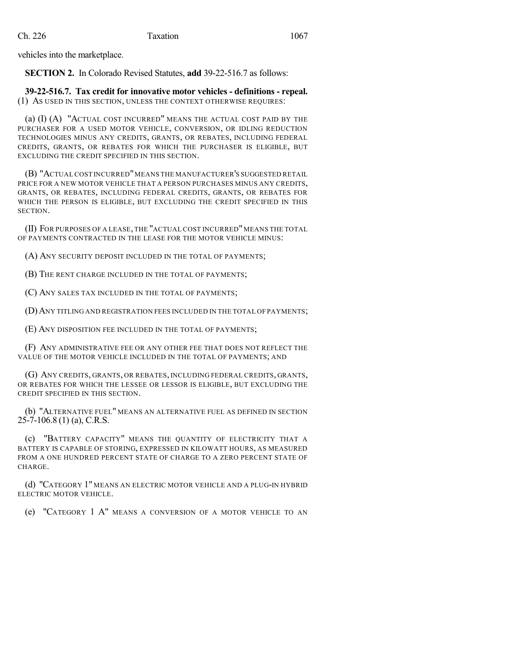vehicles into the marketplace.

**SECTION 2.** In Colorado Revised Statutes, **add** 39-22-516.7 as follows:

**39-22-516.7. Tax credit for innovative motor vehicles - definitions - repeal.** (1) AS USED IN THIS SECTION, UNLESS THE CONTEXT OTHERWISE REQUIRES:

(a) (I) (A) "ACTUAL COST INCURRED" MEANS THE ACTUAL COST PAID BY THE PURCHASER FOR A USED MOTOR VEHICLE, CONVERSION, OR IDLING REDUCTION TECHNOLOGIES MINUS ANY CREDITS, GRANTS, OR REBATES, INCLUDING FEDERAL CREDITS, GRANTS, OR REBATES FOR WHICH THE PURCHASER IS ELIGIBLE, BUT EXCLUDING THE CREDIT SPECIFIED IN THIS SECTION.

(B) "ACTUAL COST INCURRED"MEANS THE MANUFACTURER'S SUGGESTED RETAIL PRICE FOR A NEW MOTOR VEHICLE THAT A PERSON PURCHASES MINUS ANY CREDITS, GRANTS, OR REBATES, INCLUDING FEDERAL CREDITS, GRANTS, OR REBATES FOR WHICH THE PERSON IS ELIGIBLE, BUT EXCLUDING THE CREDIT SPECIFIED IN THIS SECTION.

(II) FOR PURPOSES OF A LEASE, THE "ACTUAL COST INCURRED"MEANS THE TOTAL OF PAYMENTS CONTRACTED IN THE LEASE FOR THE MOTOR VEHICLE MINUS:

(A) ANY SECURITY DEPOSIT INCLUDED IN THE TOTAL OF PAYMENTS;

(B) THE RENT CHARGE INCLUDED IN THE TOTAL OF PAYMENTS;

(C) ANY SALES TAX INCLUDED IN THE TOTAL OF PAYMENTS;

(D)ANY TITLING AND REGISTRATION FEES INCLUDED IN THE TOTAL OF PAYMENTS;

(E) ANY DISPOSITION FEE INCLUDED IN THE TOTAL OF PAYMENTS;

(F) ANY ADMINISTRATIVE FEE OR ANY OTHER FEE THAT DOES NOT REFLECT THE VALUE OF THE MOTOR VEHICLE INCLUDED IN THE TOTAL OF PAYMENTS; AND

(G) ANY CREDITS, GRANTS, OR REBATES, INCLUDING FEDERAL CREDITS, GRANTS, OR REBATES FOR WHICH THE LESSEE OR LESSOR IS ELIGIBLE, BUT EXCLUDING THE CREDIT SPECIFIED IN THIS SECTION.

(b) "ALTERNATIVE FUEL" MEANS AN ALTERNATIVE FUEL AS DEFINED IN SECTION  $25-7-106.8$  (1) (a), C.R.S.

(c) "BATTERY CAPACITY" MEANS THE QUANTITY OF ELECTRICITY THAT A BATTERY IS CAPABLE OF STORING, EXPRESSED IN KILOWATT HOURS, AS MEASURED FROM A ONE HUNDRED PERCENT STATE OF CHARGE TO A ZERO PERCENT STATE OF CHARGE.

(d) "CATEGORY 1" MEANS AN ELECTRIC MOTOR VEHICLE AND A PLUG-IN HYBRID ELECTRIC MOTOR VEHICLE.

(e) "CATEGORY 1 A" MEANS A CONVERSION OF A MOTOR VEHICLE TO AN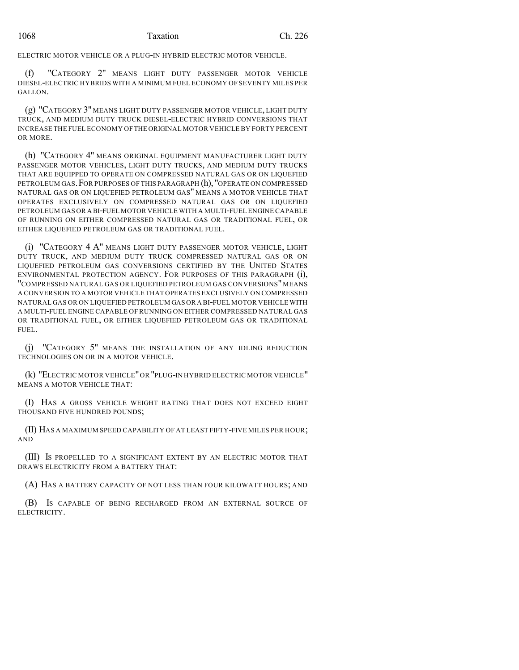ELECTRIC MOTOR VEHICLE OR A PLUG-IN HYBRID ELECTRIC MOTOR VEHICLE.

(f) "CATEGORY 2" MEANS LIGHT DUTY PASSENGER MOTOR VEHICLE DIESEL-ELECTRIC HYBRIDS WITH A MINIMUM FUEL ECONOMY OF SEVENTY MILES PER GALLON.

(g) "CATEGORY 3" MEANS LIGHT DUTY PASSENGER MOTOR VEHICLE, LIGHT DUTY TRUCK, AND MEDIUM DUTY TRUCK DIESEL-ELECTRIC HYBRID CONVERSIONS THAT INCREASE THE FUEL ECONOMY OFTHE ORIGINAL MOTOR VEHICLE BY FORTY PERCENT OR MORE.

(h) "CATEGORY 4" MEANS ORIGINAL EQUIPMENT MANUFACTURER LIGHT DUTY PASSENGER MOTOR VEHICLES, LIGHT DUTY TRUCKS, AND MEDIUM DUTY TRUCKS THAT ARE EQUIPPED TO OPERATE ON COMPRESSED NATURAL GAS OR ON LIQUEFIED PETROLEUM GAS.FOR PURPOSES OF THIS PARAGRAPH (h), "OPERATE ON COMPRESSED NATURAL GAS OR ON LIQUEFIED PETROLEUM GAS" MEANS A MOTOR VEHICLE THAT OPERATES EXCLUSIVELY ON COMPRESSED NATURAL GAS OR ON LIQUEFIED PETROLEUM GAS OR A BI-FUEL MOTOR VEHICLE WITH A MULTI-FUEL ENGINE CAPABLE OF RUNNING ON EITHER COMPRESSED NATURAL GAS OR TRADITIONAL FUEL, OR EITHER LIQUEFIED PETROLEUM GAS OR TRADITIONAL FUEL.

(i) "CATEGORY 4 A" MEANS LIGHT DUTY PASSENGER MOTOR VEHICLE, LIGHT DUTY TRUCK, AND MEDIUM DUTY TRUCK COMPRESSED NATURAL GAS OR ON LIQUEFIED PETROLEUM GAS CONVERSIONS CERTIFIED BY THE UNITED STATES ENVIRONMENTAL PROTECTION AGENCY. FOR PURPOSES OF THIS PARAGRAPH (i), "COMPRESSED NATURAL GAS OR LIQUEFIED PETROLEUM GAS CONVERSIONS"MEANS A CONVERSION TO A MOTOR VEHICLE THAT OPERATES EXCLUSIVELY ON COMPRESSED NATURAL GAS OR ON LIQUEFIED PETROLEUM GAS OR A BI-FUEL MOTOR VEHICLE WITH A MULTI-FUEL ENGINE CAPABLE OF RUNNING ON EITHER COMPRESSED NATURAL GAS OR TRADITIONAL FUEL, OR EITHER LIQUEFIED PETROLEUM GAS OR TRADITIONAL FUEL.

(j) "CATEGORY 5" MEANS THE INSTALLATION OF ANY IDLING REDUCTION TECHNOLOGIES ON OR IN A MOTOR VEHICLE.

(k) "ELECTRIC MOTOR VEHICLE"OR "PLUG-IN HYBRID ELECTRIC MOTOR VEHICLE" MEANS A MOTOR VEHICLE THAT:

(I) HAS A GROSS VEHICLE WEIGHT RATING THAT DOES NOT EXCEED EIGHT THOUSAND FIVE HUNDRED POUNDS;

(II) HAS A MAXIMUM SPEED CAPABILITY OF AT LEAST FIFTY-FIVE MILES PER HOUR; AND

(III) IS PROPELLED TO A SIGNIFICANT EXTENT BY AN ELECTRIC MOTOR THAT DRAWS ELECTRICITY FROM A BATTERY THAT:

(A) HAS A BATTERY CAPACITY OF NOT LESS THAN FOUR KILOWATT HOURS; AND

(B) IS CAPABLE OF BEING RECHARGED FROM AN EXTERNAL SOURCE OF ELECTRICITY.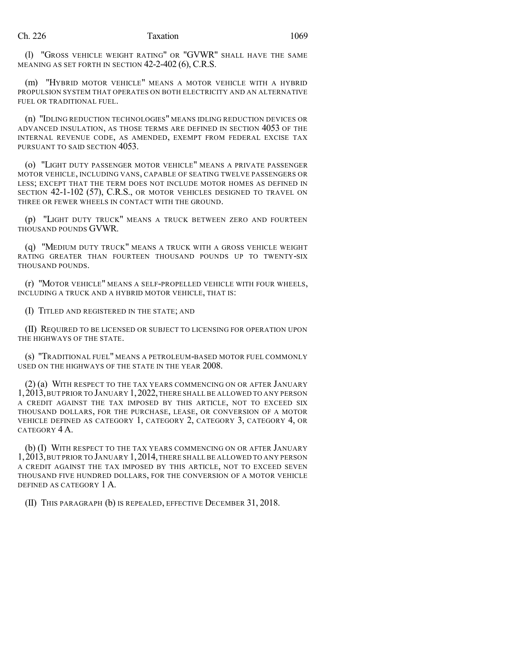(l) "GROSS VEHICLE WEIGHT RATING" OR "GVWR" SHALL HAVE THE SAME MEANING AS SET FORTH IN SECTION 42-2-402 (6), C.R.S.

(m) "HYBRID MOTOR VEHICLE" MEANS A MOTOR VEHICLE WITH A HYBRID PROPULSION SYSTEM THAT OPERATES ON BOTH ELECTRICITY AND AN ALTERNATIVE FUEL OR TRADITIONAL FUEL.

(n) "IDLING REDUCTION TECHNOLOGIES" MEANS IDLING REDUCTION DEVICES OR ADVANCED INSULATION, AS THOSE TERMS ARE DEFINED IN SECTION 4053 OF THE INTERNAL REVENUE CODE, AS AMENDED, EXEMPT FROM FEDERAL EXCISE TAX PURSUANT TO SAID SECTION 4053.

(o) "LIGHT DUTY PASSENGER MOTOR VEHICLE" MEANS A PRIVATE PASSENGER MOTOR VEHICLE, INCLUDING VANS, CAPABLE OF SEATING TWELVE PASSENGERS OR LESS; EXCEPT THAT THE TERM DOES NOT INCLUDE MOTOR HOMES AS DEFINED IN SECTION 42-1-102 (57), C.R.S., OR MOTOR VEHICLES DESIGNED TO TRAVEL ON THREE OR FEWER WHEELS IN CONTACT WITH THE GROUND.

(p) "LIGHT DUTY TRUCK" MEANS A TRUCK BETWEEN ZERO AND FOURTEEN THOUSAND POUNDS GVWR.

(q) "MEDIUM DUTY TRUCK" MEANS A TRUCK WITH A GROSS VEHICLE WEIGHT RATING GREATER THAN FOURTEEN THOUSAND POUNDS UP TO TWENTY-SIX THOUSAND POUNDS.

(r) "MOTOR VEHICLE" MEANS A SELF-PROPELLED VEHICLE WITH FOUR WHEELS, INCLUDING A TRUCK AND A HYBRID MOTOR VEHICLE, THAT IS:

(I) TITLED AND REGISTERED IN THE STATE; AND

(II) REQUIRED TO BE LICENSED OR SUBJECT TO LICENSING FOR OPERATION UPON THE HIGHWAYS OF THE STATE.

(s) "TRADITIONAL FUEL" MEANS A PETROLEUM-BASED MOTOR FUEL COMMONLY USED ON THE HIGHWAYS OF THE STATE IN THE YEAR 2008.

(2) (a) WITH RESPECT TO THE TAX YEARS COMMENCING ON OR AFTER JANUARY 1,2013,BUT PRIOR TO JANUARY 1,2022,THERE SHALL BE ALLOWED TO ANY PERSON A CREDIT AGAINST THE TAX IMPOSED BY THIS ARTICLE, NOT TO EXCEED SIX THOUSAND DOLLARS, FOR THE PURCHASE, LEASE, OR CONVERSION OF A MOTOR VEHICLE DEFINED AS CATEGORY 1, CATEGORY 2, CATEGORY 3, CATEGORY 4, OR CATEGORY 4 A.

(b) (I) WITH RESPECT TO THE TAX YEARS COMMENCING ON OR AFTER JANUARY 1,2013,BUT PRIOR TO JANUARY 1,2014,THERE SHALL BE ALLOWED TO ANY PERSON A CREDIT AGAINST THE TAX IMPOSED BY THIS ARTICLE, NOT TO EXCEED SEVEN THOUSAND FIVE HUNDRED DOLLARS, FOR THE CONVERSION OF A MOTOR VEHICLE DEFINED AS CATEGORY 1 A.

(II) THIS PARAGRAPH (b) IS REPEALED, EFFECTIVE DECEMBER 31, 2018.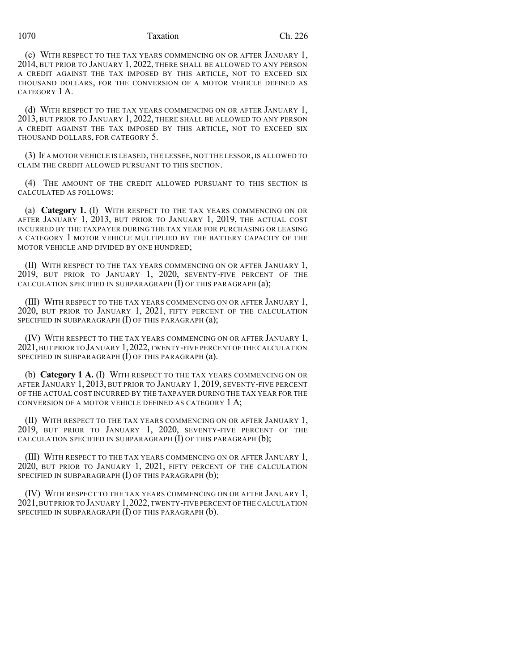(c) WITH RESPECT TO THE TAX YEARS COMMENCING ON OR AFTER JANUARY 1, 2014, BUT PRIOR TO JANUARY 1, 2022, THERE SHALL BE ALLOWED TO ANY PERSON A CREDIT AGAINST THE TAX IMPOSED BY THIS ARTICLE, NOT TO EXCEED SIX THOUSAND DOLLARS, FOR THE CONVERSION OF A MOTOR VEHICLE DEFINED AS CATEGORY 1 A.

(d) WITH RESPECT TO THE TAX YEARS COMMENCING ON OR AFTER JANUARY 1, 2013, BUT PRIOR TO JANUARY 1, 2022, THERE SHALL BE ALLOWED TO ANY PERSON A CREDIT AGAINST THE TAX IMPOSED BY THIS ARTICLE, NOT TO EXCEED SIX THOUSAND DOLLARS, FOR CATEGORY 5.

(3) IF A MOTOR VEHICLE IS LEASED, THE LESSEE, NOT THE LESSOR, IS ALLOWED TO CLAIM THE CREDIT ALLOWED PURSUANT TO THIS SECTION.

(4) THE AMOUNT OF THE CREDIT ALLOWED PURSUANT TO THIS SECTION IS CALCULATED AS FOLLOWS:

(a) **Category 1.** (I) WITH RESPECT TO THE TAX YEARS COMMENCING ON OR AFTER JANUARY 1, 2013, BUT PRIOR TO JANUARY 1, 2019, THE ACTUAL COST INCURRED BY THE TAXPAYER DURING THE TAX YEAR FOR PURCHASING OR LEASING A CATEGORY 1 MOTOR VEHICLE MULTIPLIED BY THE BATTERY CAPACITY OF THE MOTOR VEHICLE AND DIVIDED BY ONE HUNDRED;

(II) WITH RESPECT TO THE TAX YEARS COMMENCING ON OR AFTER JANUARY 1, 2019, BUT PRIOR TO JANUARY 1, 2020, SEVENTY-FIVE PERCENT OF THE CALCULATION SPECIFIED IN SUBPARAGRAPH (I) OF THIS PARAGRAPH (a);

(III) WITH RESPECT TO THE TAX YEARS COMMENCING ON OR AFTER JANUARY 1, 2020, BUT PRIOR TO JANUARY 1, 2021, FIFTY PERCENT OF THE CALCULATION SPECIFIED IN SUBPARAGRAPH (I) OF THIS PARAGRAPH (a);

(IV) WITH RESPECT TO THE TAX YEARS COMMENCING ON OR AFTER JANUARY 1, 2021,BUT PRIOR TO JANUARY 1,2022,TWENTY-FIVE PERCENT OF THE CALCULATION SPECIFIED IN SUBPARAGRAPH (I) OF THIS PARAGRAPH (a).

(b) **Category 1 A.** (I) WITH RESPECT TO THE TAX YEARS COMMENCING ON OR AFTER JANUARY 1, 2013, BUT PRIOR TO JANUARY 1, 2019, SEVENTY-FIVE PERCENT OF THE ACTUAL COST INCURRED BY THE TAXPAYER DURING THE TAX YEAR FOR THE CONVERSION OF A MOTOR VEHICLE DEFINED AS CATEGORY 1 A;

(II) WITH RESPECT TO THE TAX YEARS COMMENCING ON OR AFTER JANUARY 1, 2019, BUT PRIOR TO JANUARY 1, 2020, SEVENTY-FIVE PERCENT OF THE CALCULATION SPECIFIED IN SUBPARAGRAPH (I) OF THIS PARAGRAPH (b);

(III) WITH RESPECT TO THE TAX YEARS COMMENCING ON OR AFTER JANUARY 1, 2020, BUT PRIOR TO JANUARY 1, 2021, FIFTY PERCENT OF THE CALCULATION SPECIFIED IN SUBPARAGRAPH  $(I)$  OF THIS PARAGRAPH  $(b)$ ;

(IV) WITH RESPECT TO THE TAX YEARS COMMENCING ON OR AFTER JANUARY 1, 2021,BUT PRIOR TO JANUARY 1,2022,TWENTY-FIVE PERCENT OF THE CALCULATION SPECIFIED IN SUBPARAGRAPH (I) OF THIS PARAGRAPH (b).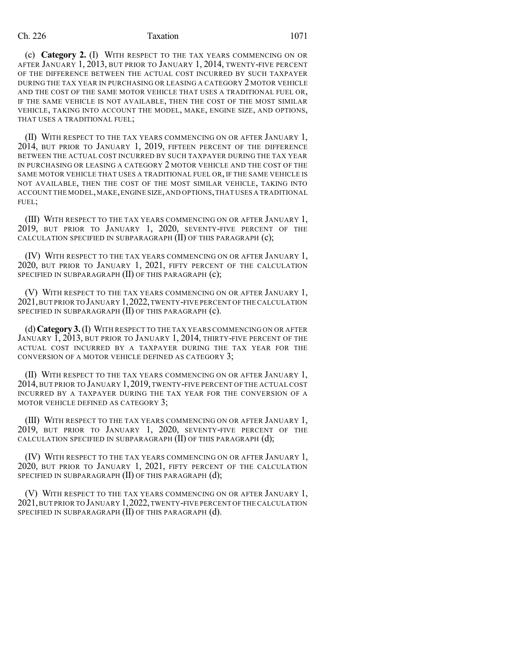### Ch. 226 Taxation 1071

(c) **Category 2.** (I) WITH RESPECT TO THE TAX YEARS COMMENCING ON OR AFTER JANUARY 1, 2013, BUT PRIOR TO JANUARY 1, 2014, TWENTY-FIVE PERCENT OF THE DIFFERENCE BETWEEN THE ACTUAL COST INCURRED BY SUCH TAXPAYER DURING THE TAX YEAR IN PURCHASING OR LEASING A CATEGORY 2 MOTOR VEHICLE AND THE COST OF THE SAME MOTOR VEHICLE THAT USES A TRADITIONAL FUEL OR, IF THE SAME VEHICLE IS NOT AVAILABLE, THEN THE COST OF THE MOST SIMILAR VEHICLE, TAKING INTO ACCOUNT THE MODEL, MAKE, ENGINE SIZE, AND OPTIONS, THAT USES A TRADITIONAL FUEL;

(II) WITH RESPECT TO THE TAX YEARS COMMENCING ON OR AFTER JANUARY 1, 2014, BUT PRIOR TO JANUARY 1, 2019, FIFTEEN PERCENT OF THE DIFFERENCE BETWEEN THE ACTUAL COST INCURRED BY SUCH TAXPAYER DURING THE TAX YEAR IN PURCHASING OR LEASING A CATEGORY 2 MOTOR VEHICLE AND THE COST OF THE SAME MOTOR VEHICLE THAT USES A TRADITIONAL FUEL OR, IF THE SAME VEHICLE IS NOT AVAILABLE, THEN THE COST OF THE MOST SIMILAR VEHICLE, TAKING INTO ACCOUNT THE MODEL,MAKE,ENGINE SIZE,AND OPTIONS,THAT USES A TRADITIONAL FUEL;

(III) WITH RESPECT TO THE TAX YEARS COMMENCING ON OR AFTER JANUARY 1, 2019, BUT PRIOR TO JANUARY 1, 2020, SEVENTY-FIVE PERCENT OF THE CALCULATION SPECIFIED IN SUBPARAGRAPH (II) OF THIS PARAGRAPH (c);

(IV) WITH RESPECT TO THE TAX YEARS COMMENCING ON OR AFTER JANUARY 1, 2020, BUT PRIOR TO JANUARY 1, 2021, FIFTY PERCENT OF THE CALCULATION SPECIFIED IN SUBPARAGRAPH (II) OF THIS PARAGRAPH (c);

(V) WITH RESPECT TO THE TAX YEARS COMMENCING ON OR AFTER JANUARY 1, 2021,BUT PRIOR TO JANUARY 1,2022,TWENTY-FIVE PERCENT OF THE CALCULATION SPECIFIED IN SUBPARAGRAPH (II) OF THIS PARAGRAPH (c).

(d) **Category 3.**(I) WITH RESPECT TO THE TAX YEARS COMMENCING ON OR AFTER JANUARY 1, 2013, BUT PRIOR TO JANUARY 1, 2014, THIRTY-FIVE PERCENT OF THE ACTUAL COST INCURRED BY A TAXPAYER DURING THE TAX YEAR FOR THE CONVERSION OF A MOTOR VEHICLE DEFINED AS CATEGORY 3;

(II) WITH RESPECT TO THE TAX YEARS COMMENCING ON OR AFTER JANUARY 1, 2014, BUT PRIOR TO JANUARY 1,2019, TWENTY-FIVE PERCENT OF THE ACTUAL COST INCURRED BY A TAXPAYER DURING THE TAX YEAR FOR THE CONVERSION OF A MOTOR VEHICLE DEFINED AS CATEGORY 3;

(III) WITH RESPECT TO THE TAX YEARS COMMENCING ON OR AFTER JANUARY 1, 2019, BUT PRIOR TO JANUARY 1, 2020, SEVENTY-FIVE PERCENT OF THE CALCULATION SPECIFIED IN SUBPARAGRAPH (II) OF THIS PARAGRAPH (d);

(IV) WITH RESPECT TO THE TAX YEARS COMMENCING ON OR AFTER JANUARY 1, 2020, BUT PRIOR TO JANUARY 1, 2021, FIFTY PERCENT OF THE CALCULATION SPECIFIED IN SUBPARAGRAPH (II) OF THIS PARAGRAPH (d);

(V) WITH RESPECT TO THE TAX YEARS COMMENCING ON OR AFTER JANUARY 1, 2021,BUT PRIOR TO JANUARY 1,2022,TWENTY-FIVE PERCENT OF THE CALCULATION SPECIFIED IN SUBPARAGRAPH (II) OF THIS PARAGRAPH (d).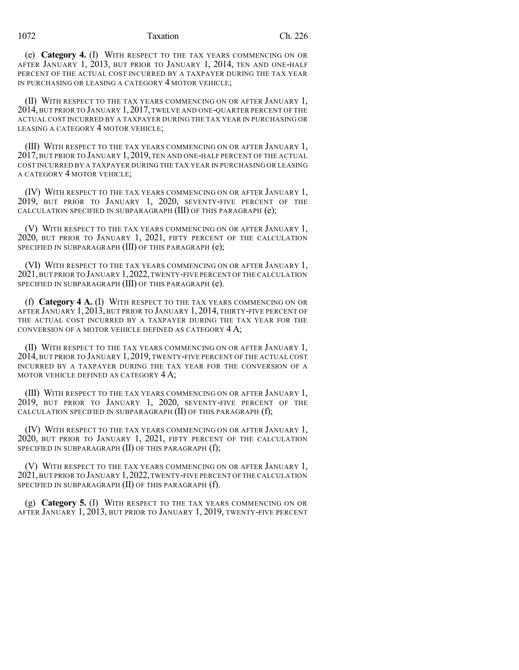(e) **Category 4.** (I) WITH RESPECT TO THE TAX YEARS COMMENCING ON OR AFTER JANUARY 1, 2013, BUT PRIOR TO JANUARY 1, 2014, TEN AND ONE-HALF PERCENT OF THE ACTUAL COST INCURRED BY A TAXPAYER DURING THE TAX YEAR IN PURCHASING OR LEASING A CATEGORY 4 MOTOR VEHICLE;

(II) WITH RESPECT TO THE TAX YEARS COMMENCING ON OR AFTER JANUARY 1, 2014, BUT PRIOR TO JANUARY 1,2017, TWELVE AND ONE-QUARTER PERCENT OF THE ACTUAL COST INCURRED BY A TAXPAYER DURING THE TAX YEAR IN PURCHASING OR LEASING A CATEGORY 4 MOTOR VEHICLE;

(III) WITH RESPECT TO THE TAX YEARS COMMENCING ON OR AFTER JANUARY 1, 2017, BUT PRIOR TO JANUARY 1,2019, TEN AND ONE-HALF PERCENT OF THE ACTUAL COST INCURRED BY A TAXPAYER DURING THE TAX YEAR IN PURCHASING OR LEASING A CATEGORY 4 MOTOR VEHICLE;

(IV) WITH RESPECT TO THE TAX YEARS COMMENCING ON OR AFTER JANUARY 1, 2019, BUT PRIOR TO JANUARY 1, 2020, SEVENTY-FIVE PERCENT OF THE CALCULATION SPECIFIED IN SUBPARAGRAPH (III) OF THIS PARAGRAPH (e);

(V) WITH RESPECT TO THE TAX YEARS COMMENCING ON OR AFTER JANUARY 1, 2020, BUT PRIOR TO JANUARY 1, 2021, FIFTY PERCENT OF THE CALCULATION SPECIFIED IN SUBPARAGRAPH (III) OF THIS PARAGRAPH (e);

(VI) WITH RESPECT TO THE TAX YEARS COMMENCING ON OR AFTER JANUARY 1, 2021,BUT PRIOR TO JANUARY 1,2022,TWENTY-FIVE PERCENT OF THE CALCULATION SPECIFIED IN SUBPARAGRAPH (III) OF THIS PARAGRAPH (e).

(f) **Category 4 A.** (I) WITH RESPECT TO THE TAX YEARS COMMENCING ON OR AFTER JANUARY 1, 2013, BUT PRIOR TO JANUARY 1, 2014, THIRTY-FIVE PERCENT OF THE ACTUAL COST INCURRED BY A TAXPAYER DURING THE TAX YEAR FOR THE CONVERSION OF A MOTOR VEHICLE DEFINED AS CATEGORY 4 A;

(II) WITH RESPECT TO THE TAX YEARS COMMENCING ON OR AFTER JANUARY 1, 2014, BUT PRIOR TO JANUARY 1,2019, TWENTY-FIVE PERCENT OF THE ACTUAL COST INCURRED BY A TAXPAYER DURING THE TAX YEAR FOR THE CONVERSION OF A MOTOR VEHICLE DEFINED AS CATEGORY 4 A;

(III) WITH RESPECT TO THE TAX YEARS COMMENCING ON OR AFTER JANUARY 1, 2019, BUT PRIOR TO JANUARY 1, 2020, SEVENTY-FIVE PERCENT OF THE CALCULATION SPECIFIED IN SUBPARAGRAPH (II) OF THIS PARAGRAPH (f);

(IV) WITH RESPECT TO THE TAX YEARS COMMENCING ON OR AFTER JANUARY 1, 2020, BUT PRIOR TO JANUARY 1, 2021, FIFTY PERCENT OF THE CALCULATION SPECIFIED IN SUBPARAGRAPH  $(II)$  OF THIS PARAGRAPH  $(f)$ ;

(V) WITH RESPECT TO THE TAX YEARS COMMENCING ON OR AFTER JANUARY 1, 2021,BUT PRIOR TO JANUARY 1,2022,TWENTY-FIVE PERCENT OF THE CALCULATION SPECIFIED IN SUBPARAGRAPH (II) OF THIS PARAGRAPH (f).

(g) **Category 5.** (I) WITH RESPECT TO THE TAX YEARS COMMENCING ON OR AFTER JANUARY 1, 2013, BUT PRIOR TO JANUARY 1, 2019, TWENTY-FIVE PERCENT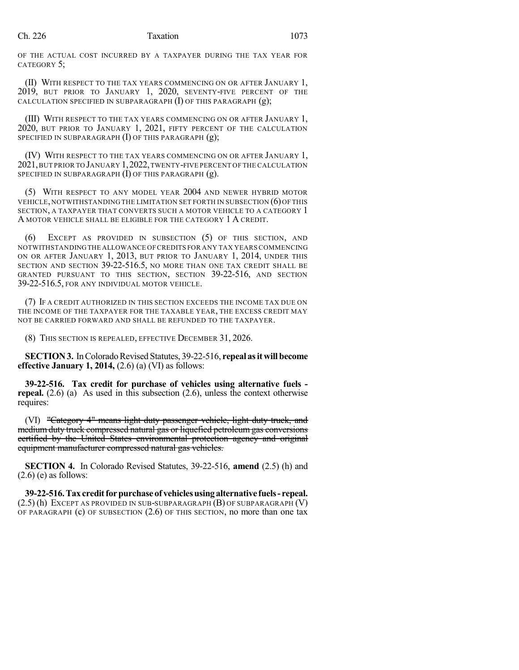OF THE ACTUAL COST INCURRED BY A TAXPAYER DURING THE TAX YEAR FOR CATEGORY 5;

(II) WITH RESPECT TO THE TAX YEARS COMMENCING ON OR AFTER JANUARY 1, 2019, BUT PRIOR TO JANUARY 1, 2020, SEVENTY-FIVE PERCENT OF THE CALCULATION SPECIFIED IN SUBPARAGRAPH (I) OF THIS PARAGRAPH (g);

(III) WITH RESPECT TO THE TAX YEARS COMMENCING ON OR AFTER JANUARY 1, 2020, BUT PRIOR TO JANUARY 1, 2021, FIFTY PERCENT OF THE CALCULATION SPECIFIED IN SUBPARAGRAPH  $(I)$  OF THIS PARAGRAPH  $(g)$ ;

(IV) WITH RESPECT TO THE TAX YEARS COMMENCING ON OR AFTER JANUARY 1, 2021,BUT PRIOR TO JANUARY 1,2022,TWENTY-FIVE PERCENT OF THE CALCULATION SPECIFIED IN SUBPARAGRAPH  $(I)$  OF THIS PARAGRAPH  $(g)$ .

(5) WITH RESPECT TO ANY MODEL YEAR 2004 AND NEWER HYBRID MOTOR VEHICLE, NOTWITHSTANDING THE LIMITATION SET FORTH IN SUBSECTION (6)OF THIS SECTION, A TAXPAYER THAT CONVERTS SUCH A MOTOR VEHICLE TO A CATEGORY 1 A MOTOR VEHICLE SHALL BE ELIGIBLE FOR THE CATEGORY 1 A CREDIT.

(6) EXCEPT AS PROVIDED IN SUBSECTION (5) OF THIS SECTION, AND NOTWITHSTANDINGTHE ALLOWANCE OFCREDITS FOR ANY TAX YEARS COMMENCING ON OR AFTER JANUARY 1, 2013, BUT PRIOR TO JANUARY 1, 2014, UNDER THIS SECTION AND SECTION 39-22-516.5, NO MORE THAN ONE TAX CREDIT SHALL BE GRANTED PURSUANT TO THIS SECTION, SECTION 39-22-516, AND SECTION 39-22-516.5, FOR ANY INDIVIDUAL MOTOR VEHICLE.

(7) IF A CREDIT AUTHORIZED IN THIS SECTION EXCEEDS THE INCOME TAX DUE ON THE INCOME OF THE TAXPAYER FOR THE TAXABLE YEAR, THE EXCESS CREDIT MAY NOT BE CARRIED FORWARD AND SHALL BE REFUNDED TO THE TAXPAYER.

(8) THIS SECTION IS REPEALED, EFFECTIVE DECEMBER 31, 2026.

**SECTION 3.** In Colorado Revised Statutes, 39-22-516, repeal as it will become **effective January 1, 2014,** (2.6) (a) (VI) as follows:

**39-22-516. Tax credit for purchase of vehicles using alternative fuels repeal.** (2.6) (a) As used in this subsection (2.6), unless the context otherwise requires:

(VI) "Category 4" means light duty passenger vehicle, light duty truck, and medium duty truck compressed natural gas or liquefied petroleum gas conversions certified by the United States environmental protection agency and original equipment manufacturer compressed natural gas vehicles.

**SECTION 4.** In Colorado Revised Statutes, 39-22-516, **amend** (2.5) (h) and  $(2.6)$  (e) as follows:

**39-22-516.Taxcreditforpurchase of vehiclesusingalternative fuels- repeal.** (2.5) (h) EXCEPT AS PROVIDED IN SUB-SUBPARAGRAPH (B) OF SUBPARAGRAPH (V) OF PARAGRAPH (c) OF SUBSECTION (2.6) OF THIS SECTION, no more than one tax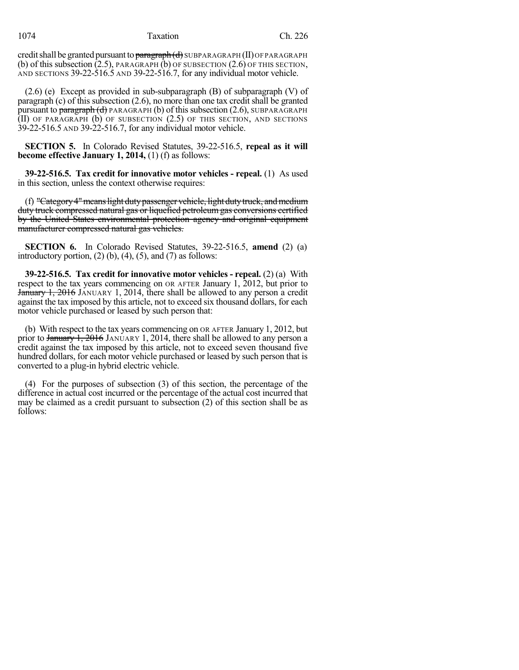credit shall be granted pursuant to paragraph  $(d)$  SUBPARAGRAPH (II)OF PARAGRAPH (b) of this subsection  $(2.5)$ , PARAGRAPH  $(b)$  OF SUBSECTION  $(2.6)$  OF THIS SECTION, AND SECTIONS 39-22-516.5 AND 39-22-516.7, for any individual motor vehicle.

 $(2.6)$  (e) Except as provided in sub-subparagraph (B) of subparagraph (V) of paragraph (c) of this subsection (2.6), no more than one tax credit shall be granted pursuant to paragraph  $(d)$  PARAGRAPH (b) of this subsection (2.6), SUBPARAGRAPH (II) OF PARAGRAPH (b) OF SUBSECTION (2.5) OF THIS SECTION, AND SECTIONS 39-22-516.5 AND 39-22-516.7, for any individual motor vehicle.

**SECTION 5.** In Colorado Revised Statutes, 39-22-516.5, **repeal as it will become effective January 1, 2014,** (1) (f) as follows:

**39-22-516.5. Tax credit for innovative motor vehicles - repeal.** (1) As used in this section, unless the context otherwise requires:

(f) "Category 4" means light duty passenger vehicle, light duty truck, and medium duty truck compressed natural gas or liquefied petroleum gas conversions certified by the United States environmental protection agency and original equipment manufacturer compressed natural gas vehicles.

**SECTION 6.** In Colorado Revised Statutes, 39-22-516.5, **amend** (2) (a) introductory portion,  $(2)$  (b),  $(4)$ ,  $(5)$ , and  $(7)$  as follows:

**39-22-516.5. Tax credit for innovative motor vehicles - repeal.** (2) (a) With respect to the tax years commencing on OR AFTER January 1, 2012, but prior to January 1, 2016 JANUARY 1, 2014, there shall be allowed to any person a credit against the tax imposed by this article, not to exceed six thousand dollars, for each motor vehicle purchased or leased by such person that:

(b) With respect to the tax years commencing on OR AFTER January 1, 2012, but prior to January 1, 2016 JANUARY 1, 2014, there shall be allowed to any person a credit against the tax imposed by this article, not to exceed seven thousand five hundred dollars, for each motor vehicle purchased or leased by such person that is converted to a plug-in hybrid electric vehicle.

(4) For the purposes of subsection (3) of this section, the percentage of the difference in actual cost incurred or the percentage of the actual cost incurred that may be claimed as a credit pursuant to subsection (2) of this section shall be as follows: